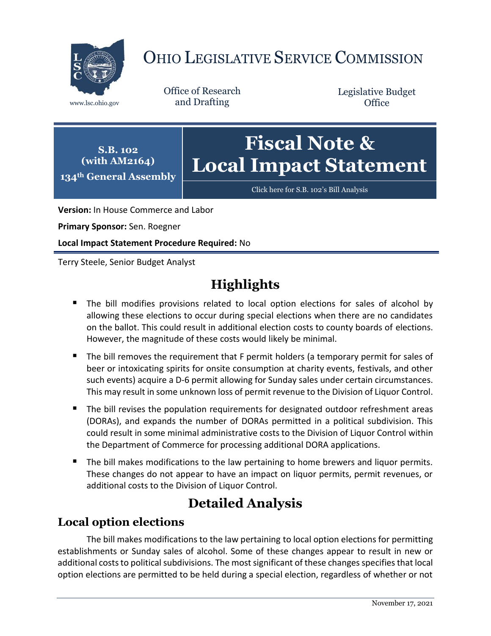

# OHIO LEGISLATIVE SERVICE COMMISSION

Office of Research www.lsc.ohio.gov and Drafting

Legislative Budget **Office** 

**S.B. 102 (with AM2164) 134th General Assembly**

# **Fiscal Note & Local Impact Statement**

[Click here for S.B. 102](https://www.legislature.ohio.gov/legislation/legislation-documents?id=GA134-SB-102)'s Bill Analysis

**Version:** In House Commerce and Labor

**Primary Sponsor:** Sen. Roegner

**Local Impact Statement Procedure Required:** No

Terry Steele, Senior Budget Analyst

## **Highlights**

- The bill modifies provisions related to local option elections for sales of alcohol by allowing these elections to occur during special elections when there are no candidates on the ballot. This could result in additional election costs to county boards of elections. However, the magnitude of these costs would likely be minimal.
- The bill removes the requirement that F permit holders (a temporary permit for sales of beer or intoxicating spirits for onsite consumption at charity events, festivals, and other such events) acquire a D-6 permit allowing for Sunday sales under certain circumstances. This may result in some unknown loss of permit revenue to the Division of Liquor Control.
- The bill revises the population requirements for designated outdoor refreshment areas (DORAs), and expands the number of DORAs permitted in a political subdivision. This could result in some minimal administrative costs to the Division of Liquor Control within the Department of Commerce for processing additional DORA applications.
- The bill makes modifications to the law pertaining to home brewers and liquor permits. These changes do not appear to have an impact on liquor permits, permit revenues, or additional costs to the Division of Liquor Control.

## **Detailed Analysis**

### **Local option elections**

The bill makes modifications to the law pertaining to local option elections for permitting establishments or Sunday sales of alcohol. Some of these changes appear to result in new or additional costs to political subdivisions. The most significant of these changes specifies that local option elections are permitted to be held during a special election, regardless of whether or not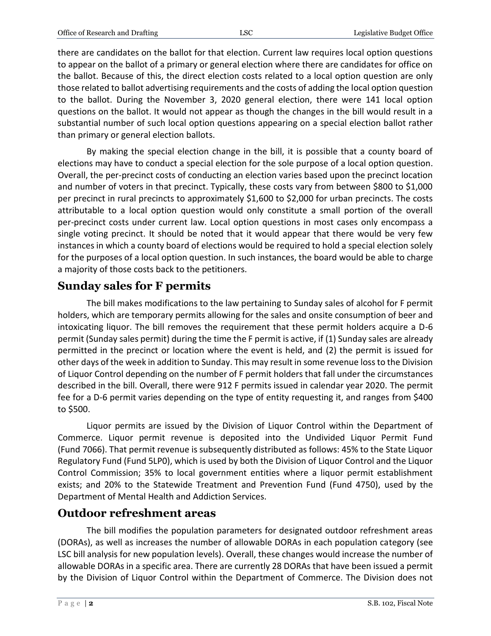there are candidates on the ballot for that election. Current law requires local option questions to appear on the ballot of a primary or general election where there are candidates for office on the ballot. Because of this, the direct election costs related to a local option question are only those related to ballot advertising requirements and the costs of adding the local option question to the ballot. During the November 3, 2020 general election, there were 141 local option questions on the ballot. It would not appear as though the changes in the bill would result in a substantial number of such local option questions appearing on a special election ballot rather than primary or general election ballots.

By making the special election change in the bill, it is possible that a county board of elections may have to conduct a special election for the sole purpose of a local option question. Overall, the per-precinct costs of conducting an election varies based upon the precinct location and number of voters in that precinct. Typically, these costs vary from between \$800 to \$1,000 per precinct in rural precincts to approximately \$1,600 to \$2,000 for urban precincts. The costs attributable to a local option question would only constitute a small portion of the overall per-precinct costs under current law. Local option questions in most cases only encompass a single voting precinct. It should be noted that it would appear that there would be very few instances in which a county board of elections would be required to hold a special election solely for the purposes of a local option question. In such instances, the board would be able to charge a majority of those costs back to the petitioners.

### **Sunday sales for F permits**

The bill makes modifications to the law pertaining to Sunday sales of alcohol for F permit holders, which are temporary permits allowing for the sales and onsite consumption of beer and intoxicating liquor. The bill removes the requirement that these permit holders acquire a D-6 permit (Sunday sales permit) during the time the F permit is active, if (1) Sunday sales are already permitted in the precinct or location where the event is held, and (2) the permit is issued for other days of the week in addition to Sunday. This may result in some revenue loss to the Division of Liquor Control depending on the number of F permit holders that fall under the circumstances described in the bill. Overall, there were 912 F permits issued in calendar year 2020. The permit fee for a D-6 permit varies depending on the type of entity requesting it, and ranges from \$400 to \$500.

Liquor permits are issued by the Division of Liquor Control within the Department of Commerce. Liquor permit revenue is deposited into the Undivided Liquor Permit Fund (Fund 7066). That permit revenue is subsequently distributed as follows: 45% to the State Liquor Regulatory Fund (Fund 5LP0), which is used by both the Division of Liquor Control and the Liquor Control Commission; 35% to local government entities where a liquor permit establishment exists; and 20% to the Statewide Treatment and Prevention Fund (Fund 4750), used by the Department of Mental Health and Addiction Services.

### **Outdoor refreshment areas**

The bill modifies the population parameters for designated outdoor refreshment areas (DORAs), as well as increases the number of allowable DORAs in each population category (see LSC bill analysis for new population levels). Overall, these changes would increase the number of allowable DORAs in a specific area. There are currently 28 DORAs that have been issued a permit by the Division of Liquor Control within the Department of Commerce. The Division does not